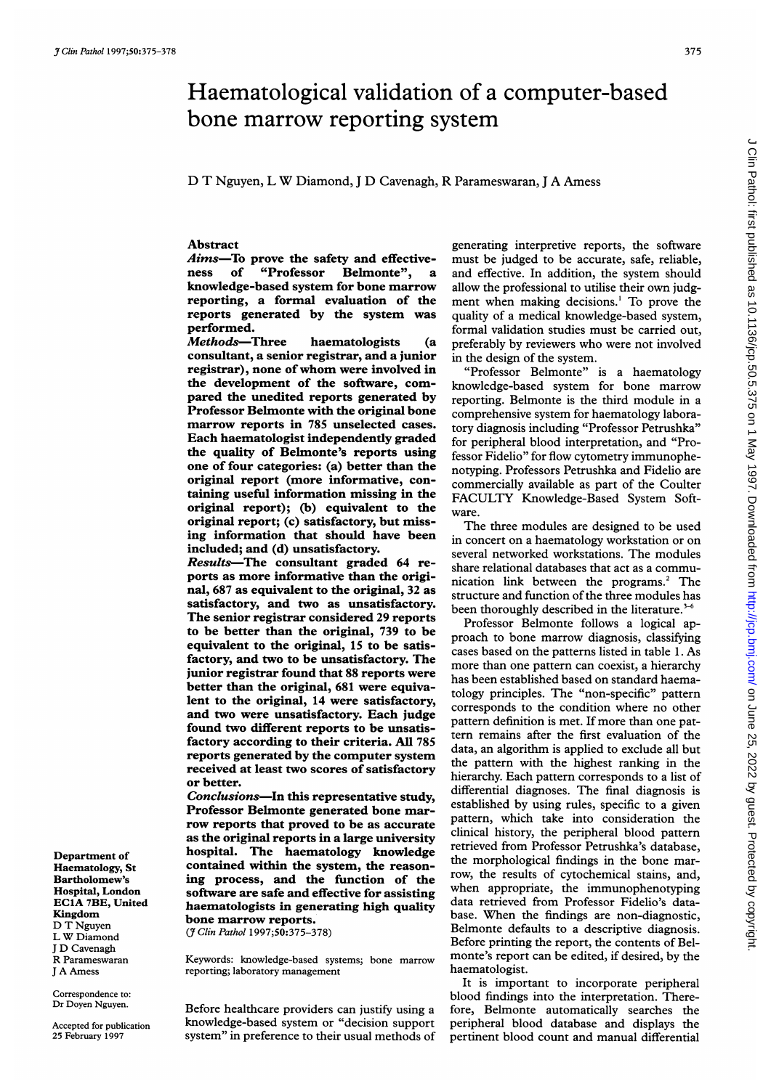# Haematological validation of a computer-based bone marrow reporting system

D T Nguyen, <sup>L</sup> W Diamond, <sup>J</sup> D Cavenagh, R Parameswaran, <sup>J</sup> A Amess

## Abstract

Aims-To prove the safety and effectiveness of "Professor Belmonte", knowledge-based system for bone marrow reporting, a formal evaluation of the reports generated by the system was performed.

Methods-Three haematologists (a consultant, a senior registrar, and a junior registrar), none of whom were involved in the development of the software, compared the unedited reports generated by Professor Belmonte with the original bone marrow reports in 785 unselected cases. Each haematologist independently graded the quality of Belmonte's reports using one of four categories: (a) better than the original report (more informative, containing useful information missing in the original report); (b) equivalent to the original report; (c) satisfactory, but missing information that should have been included; and (d) unsatisfactory.

Results-The consultant graded 64 reports as more informative than the original, 687 as equivalent to the original, 32 as satisfactory, and two as unsatisfactory. The senior registrar considered 29 reports to be better than the original, 739 to be equivalent to the original, 15 to be satisfactory, and two to be unsatisfactory. The junior registrar found that 88 reports were better than the original, 681 were equivalent to the original, 14 were satisfactory, and two were unsatisfactory. Each judge found two different reports to be unsatisfactory according to their criteria. All 785 reports generated by the computer system received at least two scores of satisfactory or better.

Conclusions-In this representative study, Professor Belmonte generated bone marrow reports that proved to be as accurate as the original reports in a large university hospital. The haematology knowledge contained within the system, the reasoning process, and the function of the software are safe and effective for assisting haematologists in generating high quality bone marrow reports.

(7 Clin Pathol 1997;50:375-378)

Keywords: knowledge-based systems; bone marrow reporting; laboratory management

Correspondence to: Dr Doyen Nguyen.

Department of Haematology, St Bartholomew's Hospital, London EClA 7BE, United

Kingdom D T Nguyen <sup>L</sup> W Diamond <sup>J</sup> D Cavenagh R Parameswaran <sup>J</sup> A Amess

Accepted for publication 25 February 1997

Before healthcare providers can justify using a knowledge-based system or "decision support system" in preference to their usual methods of

generating interpretive reports, the software must be judged to be accurate, safe, reliable, and effective. In addition, the system should allow the professional to utilise their own judgment when making decisions.' To prove the quality of a medical knowledge-based system, formal validation studies must be carried out, preferably by reviewers who were not involved in the design of the system.

"Professor Belmonte" is a haematology knowledge-based system for bone marrow reporting. Belmonte is the third module in a comprehensive system for haematology laboratory diagnosis including "Professor Petrushka" for peripheral blood interpretation, and "Professor Fidelio" for flow cytometry immunophenotyping. Professors Petrushka and Fidelio are commercially available as part of the Coulter FACULTY Knowledge-Based System Software.

The three modules are designed to be used in concert on a haematology workstation or on several networked workstations. The modules share relational databases that act as a communication link between the programs.' The structure and function of the three modules has been thoroughly described in the literature.<sup>3-6</sup>

Professor Belmonte follows a logical approach to bone marrow diagnosis, classifying cases based on the patterns listed in table 1. As more than one pattern can coexist, a hierarchy has been established based on standard haematology principles. The "non-specific" pattern corresponds to the condition where no other pattern definition is met. If more than one pattern remains after the first evaluation of the data, an algorithm is applied to exclude all but the pattern with the highest ranking in the hierarchy. Each pattern corresponds to a list of differential diagnoses. The final diagnosis is established by using rules, specific to a given pattern, which take into consideration the clinical history, the peripheral blood pattern retrieved from Professor Petrushka's database, the morphological findings in the bone marrow, the results of cytochemical stains, and, when appropriate, the immunophenotyping data retrieved from Professor Fidelio's database. When the findings are non-diagnostic, Belmonte defaults to a descriptive diagnosis. Before printing the report, the contents of Belmonte's report can be edited, if desired, by the haematologist.

It is important to incorporate peripheral blood findings into the interpretation. Therefore, Belmonte automatically searches the peripheral blood database and displays the pertinent blood count and manual differential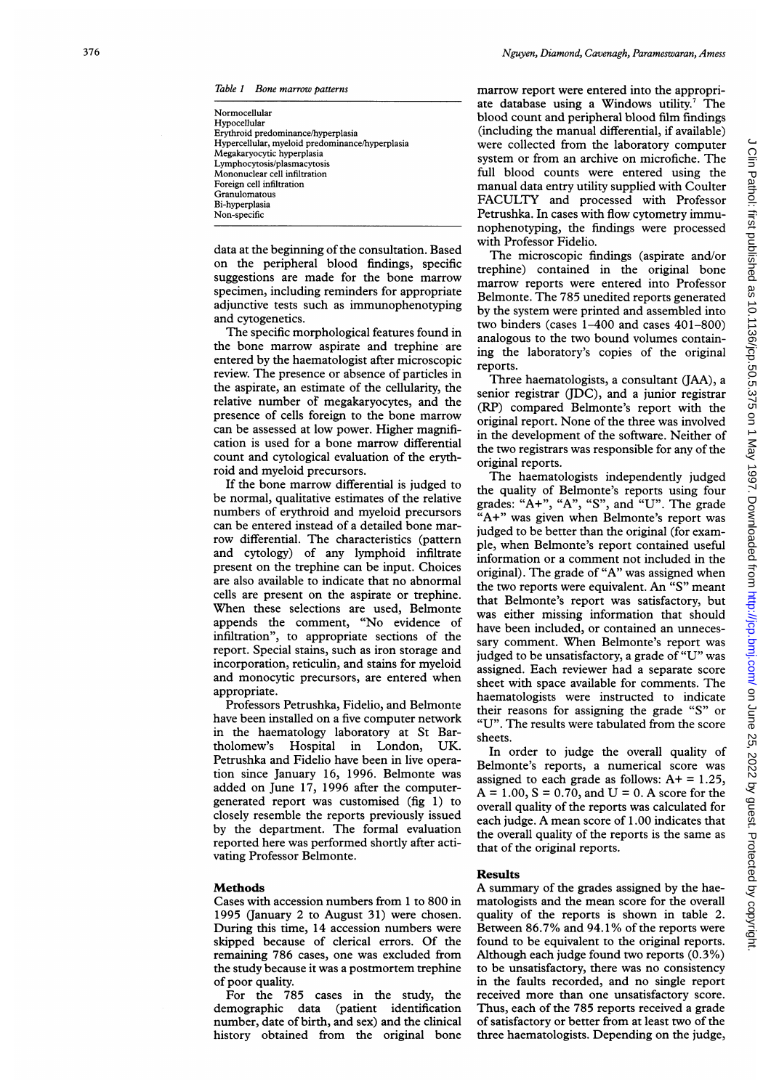Table <sup>1</sup> Bone marrow patterns

| Normocellular<br>Hypocellular<br>Erythroid predominance/hyperplasia<br>Hypercellular, myeloid predominance/hyperplasia<br>Megakaryocytic hyperplasia<br>Lymphocytosis/plasmacytosis<br>Mononuclear cell infiltration<br>Foreign cell infiltration<br>Granulomatous |  |
|--------------------------------------------------------------------------------------------------------------------------------------------------------------------------------------------------------------------------------------------------------------------|--|
| Bi-hyperplasia<br>Non-specific                                                                                                                                                                                                                                     |  |
|                                                                                                                                                                                                                                                                    |  |

data at the beginning of the consultation. Based on the peripheral blood findings, specific suggestions are made for the bone marrow specimen, including reminders for appropriate adjunctive tests such as immunophenotyping and cytogenetics.

The specific morphological features found in the bone marrow aspirate and trephine are entered by the haematologist after microscopic review. The presence or absence of particles in the aspirate, an estimate of the cellularity, the relative number of megakaryocytes, and the presence of cells foreign to the bone marrow can be assessed at low power. Higher magnification is used for a bone marrow differential count and cytological evaluation of the erythroid and myeloid precursors.

If the bone marrow differential is judged to be normal, qualitative estimates of the relative numbers of erythroid and myeloid precursors can be entered instead of a detailed bone marrow differential. The characteristics (pattern and cytology) of any lymphoid infiltrate present on the trephine can be input. Choices are also available to indicate that no abnormal cells are present on the aspirate or trephine. When these selections are used, Belmonte appends the comment, "No evidence of infiltration", to appropriate sections of the report. Special stains, such as iron storage and incorporation, reticulin, and stains for myeloid and monocytic precursors, are entered when appropriate.

Professors Petrushka, Fidelio, and Belmonte have been installed on a five computer network in the haematology laboratory at St Bartholomew's Hospital in London, UK. Petrushka and Fidelio have been in live operation since January 16, 1996. Belmonte was added on June 17, 1996 after the computergenerated report was customised (fig 1) to closely resemble the reports previously issued by the department. The formal evaluation reported here was performed shortly after activating Professor Belmonte.

### Methods

Cases with accession numbers from <sup>1</sup> to 800 in 1995 (January 2 to August 31) were chosen. During this time, 14 accession numbers were skipped because of clerical errors. Of the remaining 786 cases, one was excluded from the study because it was a postmortem trephine

of poor quality. cases in the study, the demographic data (patient identification number, date of birth, and sex) and the clinical history obtained from the original bone marrow report were entered into the appropriate database using a Windows utility.<sup>7</sup> The blood count and peripheral blood film findings (including the manual differential, if available) were collected from the laboratory computer system or from an archive on microfiche. The full blood counts were entered using the manual data entry utility supplied with Coulter FACULTY and processed with Professor Petrushka. In cases with flow cytometry immunophenotyping, the findings were processed with Professor Fidelio.

The microscopic findings (aspirate and/or trephine) contained in the original bone marrow reports were entered into Professor Belmonte. The 785 unedited reports generated by the system were printed and assembled into two binders (cases 1-400 and cases 401-800) analogous to the two bound volumes containing the laboratory's copies of the original reports.

Three haematologists, a consultant (JAA), a senior registrar (JDC), and a junior registrar (RP) compared Belmonte's report with the original report. None of the three was involved in the development of the software. Neither of the two registrars was responsible for any of the original reports.

The haematologists independently judged the quality of Belmonte's reports using four grades: "A+", "A", "S", and "U". The grade "A+" was given when Belmonte's report was judged to be better than the original (for example, when Belmonte's report contained useful information or a comment not included in the original). The grade of "A" was assigned when the two reports were equivalent. An "S" meant that Belmonte's report was satisfactory, but was either missing information that should have been included, or contained an unnecessary comment. When Belmonte's report was judged to be unsatisfactory, a grade of "U" was assigned. Each reviewer had a separate score sheet with space available for comments. The haematologists were instructed to indicate their reasons for assigning the grade "S" or "U". The results were tabulated from the score sheets.

In order to judge the overall quality of Belmonte's reports, a numerical score was assigned to each grade as follows:  $A+ = 1.25$ ,  $A = 1.00, S = 0.70, and U = 0. A score for the$ overall quality of the reports was calculated for each judge. A mean score of 1.00 indicates that the overall quality of the reports is the same as that of the original reports.

Results<br>A summary of the grades assigned by the haematologists and the mean score for the overall quality of the reports is shown in table 2. Between 86.7% and 94.1% of the reports were found to be equivalent to the original reports. Although each judge found two reports (0.3%) to be unsatisfactory, there was no consistency in the faults recorded, and no single report received more than one unsatisfactory score. Thus, each of the 785 reports received a grade of satisfactory or better from at least two of the three haematologists. Depending on the judge,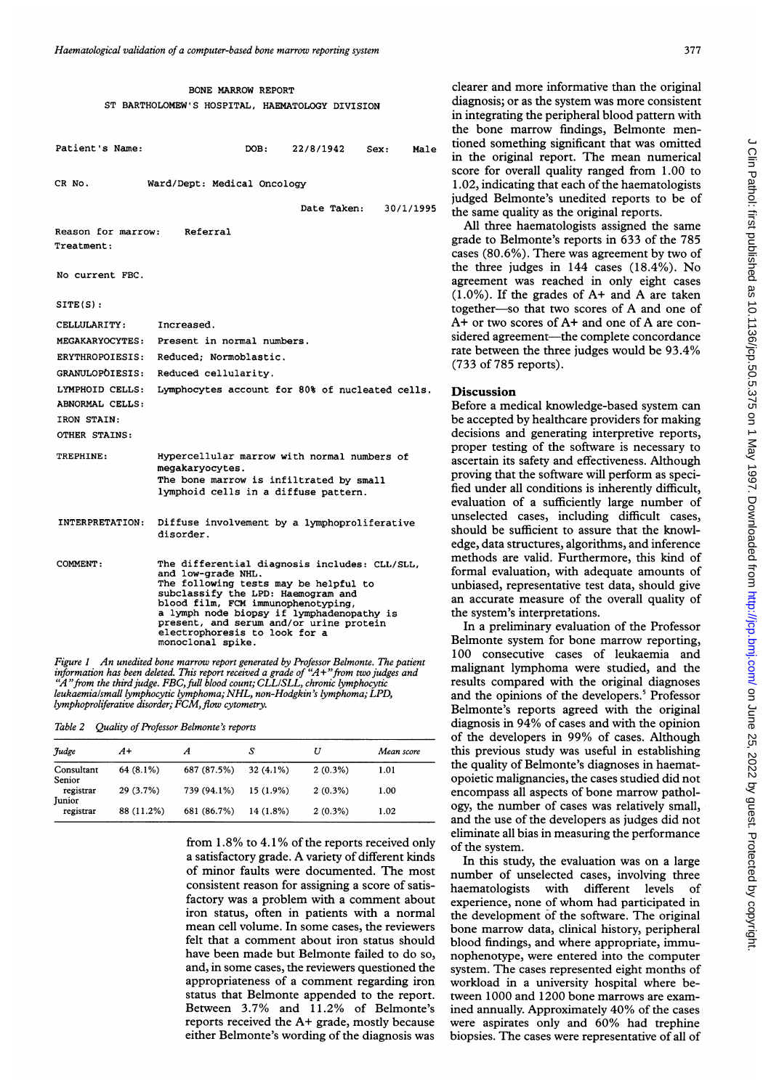|                                                                                                                                  | BONE MARROW REPORT<br>ST BARTHOLOMEW'S HOSPITAL, HAEMATOLOGY DIVISION                                                                                                                                                                                                                                                                  |  |                     |      |    |
|----------------------------------------------------------------------------------------------------------------------------------|----------------------------------------------------------------------------------------------------------------------------------------------------------------------------------------------------------------------------------------------------------------------------------------------------------------------------------------|--|---------------------|------|----|
| Patient's Name:                                                                                                                  |                                                                                                                                                                                                                                                                                                                                        |  | DOB: 22/8/1942      | Sex: | Ma |
| CR No.                                                                                                                           | Ward/Dept: Medical Oncology                                                                                                                                                                                                                                                                                                            |  |                     |      |    |
|                                                                                                                                  |                                                                                                                                                                                                                                                                                                                                        |  | Date Taken: 30/1/19 |      |    |
| Reason for marrow: Referral<br>Treatment:                                                                                        |                                                                                                                                                                                                                                                                                                                                        |  |                     |      |    |
| No current FBC.                                                                                                                  |                                                                                                                                                                                                                                                                                                                                        |  |                     |      |    |
| STTE(S):                                                                                                                         |                                                                                                                                                                                                                                                                                                                                        |  |                     |      |    |
| CELLULARITY:<br><b>MEGAKARYOCYTES:</b><br><b>ERYTHROPOIESIS:</b><br><b>GRANULOPOIESIS:</b><br>LYMPHOID CELLS:<br>ABNORMAL CELLS: | Increased.<br>Present in normal numbers.<br>Reduced; Normoblastic.<br>Reduced cellularity.<br>Lymphocytes account for 80% of nucleated cells                                                                                                                                                                                           |  |                     |      |    |
| IRON STAIN:<br>OTHER STAINS:                                                                                                     |                                                                                                                                                                                                                                                                                                                                        |  |                     |      |    |
| TREPHINE:                                                                                                                        | Hypercellular marrow with normal numbers of<br>megakaryocytes.<br>The bone marrow is infiltrated by small<br>lymphoid cells in a diffuse pattern.                                                                                                                                                                                      |  |                     |      |    |
| <b>INTERPRETATION:</b>                                                                                                           | Diffuse involvement by a lymphoproliferative<br>disorder.                                                                                                                                                                                                                                                                              |  |                     |      |    |
| COMMENT:                                                                                                                         | The differential diagnosis includes: CLL/SLL,<br>and low-grade NHL.<br>The following tests may be helpful to<br>subclassify the LPD: Haemogram and<br>blood film, FCM immunophenotyping,<br>a lymph node biopsy if lymphadenopathy is<br>present, and serum and/or urine protein<br>electrophoresis to look for a<br>monoclonal spike. |  |                     |      |    |

Figure 1 An unedited bone marrow report generated by Pr<br>information has been deleted. This report received a grade of "A" from the third judge. FBC, full blood count; CLL/SLL<br>leukaemia/small lymphocytic lymphoma; NHL, non-Hodgl lymphoproliferative disorder; FCM, flow cytometry.

|  |  |  | Table 2 Quality of Professor Belmonte's reports |  |
|--|--|--|-------------------------------------------------|--|
|--|--|--|-------------------------------------------------|--|

| Judge                      | $A+$       |             |             | U          | Mean score |
|----------------------------|------------|-------------|-------------|------------|------------|
| Consultant<br>Senior       | 64 (8.1%)  | 687 (87.5%) | $32(4.1\%)$ | $2(0.3\%)$ | 1.01       |
| registrar<br><b>Iunior</b> | 29 (3.7%)  | 739 (94.1%) | $15(1.9\%)$ | $2(0.3\%)$ | 1.00       |
| registrar                  | 88 (11.2%) | 681 (86.7%) | 14 (1.8%)   | $2(0.3\%)$ | 1.02       |

from 1.8% to 4.1% of the reports received only of the system. a satisfactory grade. A variety of different kinds of minor faults were documented. The most consistent reason for assigning a score of satisfactory was a problem with a comment about iron status, often in patients with a normal mean cell volume. In some cases, the reviewers felt that a comment about iron status should have been made but Belmonte failed to do so, and, in some cases, the reviewers questioned the appropriateness of a comment regarding iron status that Belmonte appended to the report. Between 3.7% and 11.2% of Belmonte's reports received the  $A+$  grade, mostly because either Belmonte's wording of the diagnosis was

clearer and more informative than the original diagnosis; or as the system was more consistent in integrating the peripheral blood pattern with the bone marrow findings, Belmonte mentioned something significant that was omitted  $\mu_{1}$ <sub>2</sub> uoned something significant that was omitted in the original report. The mean numerical score for overall quality ranged from 1.00 to 1.02, indicating that each of the haematologists judged Belmonte's unedited reports to be of date Taken: 3000 and the same quality as the original reports.

All three haematologists assigned the same grade to Belmonte's reports in 633 of the 785 cases (80.6%). There was agreement by two of the three judges in 144 cases (18.4%). No agreement was reached in only eight cases  $(1.0\%)$ . If the grades of A+ and A are taken together-so that two scores of A and one of A+ or two scores of A+ and one of A are considered agreement-the complete concordance rate between the three judges would be 93.4% (733 of 785 reports).

#### <sup>5</sup>. Discussion

Before a medical knowledge-based system can be accepted by healthcare providers for making decisions and generating interpretive reports, proper testing of the software is necessary to ascertain its safety and effectiveness. Although trated by small  $\mu$  proving that the software will perform as speciuse pattern, fied under all conditions is inherently difficult, evaluation of a sufficiently large number of unselected cases, including difficult cases, should be sufficient to assure that the knowledge, data structures, algorithms, and inference methods are valid. Furthermore, this kind of formal evaluation, with adequate amounts of unbiased, representative test data, should give an accurate measure of the overall quality of the system's interpretations.

> In a preliminary evaluation of the Professor Belmonte system for bone marrow reporting, 100 consecutive cases of leukaemia and malignant lymphoma were studied, and the results compared with the original diagnoses and the opinions of the developers.<sup>5</sup> Professor Belmonte's reports agreed with the original diagnosis in 94% of cases and with the opinion of the developers in 99% of cases. Although this previous study was useful in establishing the quality of Belmonte's diagnoses in haematopoietic malignancies, the cases studied did not encompass all aspects of bone marrow pathology, the number of cases was relatively small, and the use of the developers as judges did not eliminate all bias in measuring the performance

> In this study, the evaluation was on a large number of unselected cases, involving three haematologists with different levels of experience, none of whom had participated in the development of the software. The original bone marrow data, clinical history, peripheral blood findings, and where appropriate, immunophenotype, were entered into the computer system. The cases represented eight months of workload in a university hospital where between 1000 and 1200 bone marrows are examined annually. Approximately 40% of the cases were aspirates only and 60% had trephine biopsies. The cases were representative of all of